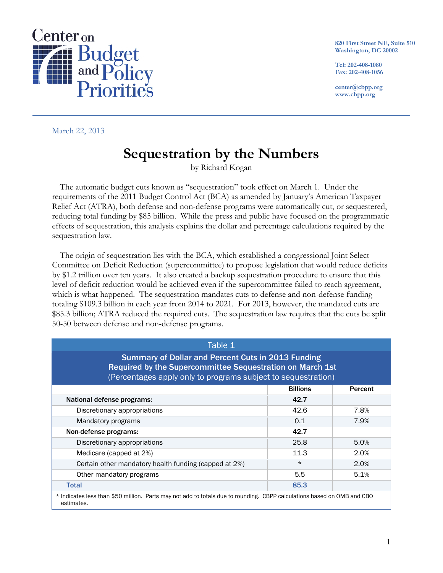

**820 First Street NE, Suite 510 Washington, DC 20002** 

**Tel: 202-408-1080 Fax: 202-408-1056** 

**center@cbpp.org www.cbpp.org** 

March 22, 2013

# **Sequestration by the Numbers**

by Richard Kogan

The automatic budget cuts known as "sequestration" took effect on March 1. Under the requirements of the 2011 Budget Control Act (BCA) as amended by January's American Taxpayer Relief Act (ATRA), both defense and non-defense programs were automatically cut, or sequestered, reducing total funding by \$85 billion. While the press and public have focused on the programmatic effects of sequestration, this analysis explains the dollar and percentage calculations required by the sequestration law.

The origin of sequestration lies with the BCA, which established a congressional Joint Select Committee on Deficit Reduction (supercommittee) to propose legislation that would reduce deficits by \$1.2 trillion over ten years. It also created a backup sequestration procedure to ensure that this level of deficit reduction would be achieved even if the supercommittee failed to reach agreement, which is what happened. The sequestration mandates cuts to defense and non-defense funding totaling \$109.3 billion in each year from 2014 to 2021. For 2013, however, the mandated cuts are \$85.3 billion; ATRA reduced the required cuts. The sequestration law requires that the cuts be split 50-50 between defense and non-defense programs.

| Table 1                                                                                                                                                                                 |         |      |  |  |  |  |
|-----------------------------------------------------------------------------------------------------------------------------------------------------------------------------------------|---------|------|--|--|--|--|
| <b>Summary of Dollar and Percent Cuts in 2013 Funding</b><br>Required by the Supercommittee Sequestration on March 1st<br>(Percentages apply only to programs subject to sequestration) |         |      |  |  |  |  |
| <b>Billions</b><br><b>Percent</b>                                                                                                                                                       |         |      |  |  |  |  |
| National defense programs:                                                                                                                                                              | 42.7    |      |  |  |  |  |
| Discretionary appropriations                                                                                                                                                            | 42.6    | 7.8% |  |  |  |  |
| Mandatory programs                                                                                                                                                                      | 0.1     | 7.9% |  |  |  |  |
| 42.7<br>Non-defense programs:                                                                                                                                                           |         |      |  |  |  |  |
| Discretionary appropriations                                                                                                                                                            | 25.8    | 5.0% |  |  |  |  |
| Medicare (capped at 2%)                                                                                                                                                                 | 11.3    | 2.0% |  |  |  |  |
| Certain other mandatory health funding (capped at 2%)                                                                                                                                   | $\star$ | 2.0% |  |  |  |  |
| Other mandatory programs                                                                                                                                                                | 5.5     | 5.1% |  |  |  |  |
| 85.3<br><b>Total</b>                                                                                                                                                                    |         |      |  |  |  |  |
| * Indicates less than \$50 million. Parts may not add to totals due to rounding. CBPP calculations based on OMB and CBO<br>estimates.                                                   |         |      |  |  |  |  |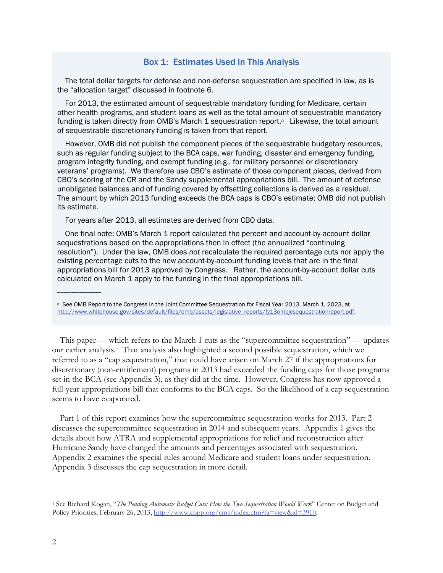# Box 1: Estimates Used in This Analysis

The total dollar targets for defense and non-defense sequestration are specified in law, as is the "allocation target" discussed in footnote 6.

For 2013, the estimated amount of sequestrable mandatory funding for Medicare, certain other health programs, and student loans as well as the total amount of sequestrable mandatory funding is taken directly from OMB's March 1 sequestration report.<sup>a</sup> Likewise, the total amount of sequestrable discretionary funding is taken from that report.

However, OMB did not publish the component pieces of the sequestrable budgetary resources, such as regular funding subject to the BCA caps, war funding, disaster and emergency funding, program integrity funding, and exempt funding (e.g., for military personnel or discretionary veterans' programs). We therefore use CBO's estimate of those component pieces, derived from CBO's scoring of the CR and the Sandy supplemental appropriations bill. The amount of defense unobligated balances and of funding covered by offsetting collections is derived as a residual. The amount by which 2013 funding exceeds the BCA caps is CBO's estimate; OMB did not publish its estimate.

For years after 2013, all estimates are derived from CBO data.

One final note: OMB's March 1 report calculated the percent and account-by-account dollar sequestrations based on the appropriations then in effect (the annualized "continuing resolution"). Under the law, OMB does *not* recalculate the required percentage cuts nor apply the existing percentage cuts to the new account-by-account funding levels that are in the final appropriations bill for 2013 approved by Congress. Rather, the account-by-account dollar cuts calculated on March 1 apply to the funding in the final appropriations bill.

a See OMB Report to the Congress in the Joint Committee Sequestration for Fiscal Year 2013, March 1, 2023, at http://www.whitehouse.gov/sites/default/files/omb/assets/legislative\_reports/fy13ombjcsequestrationreport.pdf.

This paper — which refers to the March 1 cuts as the "supercommittee sequestration" — updates our earlier analysis.<sup>1</sup> That analysis also highlighted a second possible sequestration, which we referred to as a "cap sequestration," that could have arisen on March 27 if the appropriations for discretionary (non-entitlement) programs in 2013 had exceeded the funding caps for those programs set in the BCA (see Appendix 3), as they did at the time. However, Congress has now approved a full-year appropriations bill that conforms to the BCA caps. So the likelihood of a cap sequestration seems to have evaporated.

Part 1 of this report examines how the supercommittee sequestration works for 2013. Part 2 discusses the supercommittee sequestration in 2014 and subsequent years. Appendix 1 gives the details about how ATRA and supplemental appropriations for relief and reconstruction after Hurricane Sandy have changed the amounts and percentages associated with sequestration. Appendix 2 examines the special rules around Medicare and student loans under sequestration. Appendix 3 discusses the cap sequestration in more detail.

-

----------------------

<sup>1</sup> See Richard Kogan, "*The Pending Automatic Budget Cuts: How the Two Sequestration Would Work*" Center on Budget and Policy Priorities, February 26, 2013, http://www.cbpp.org/cms/index.cfm?fa=view&id=3910.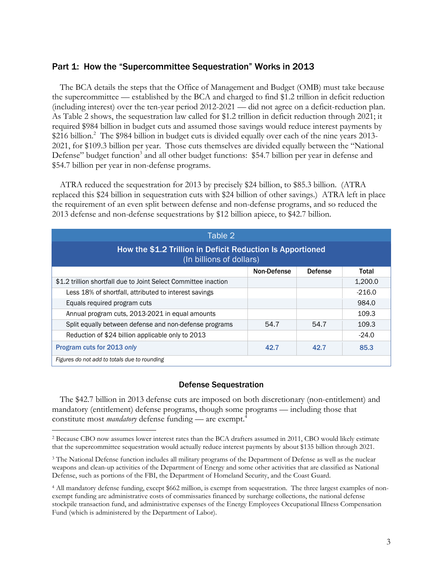# Part 1: How the "Supercommittee Sequestration" Works in 2013

The BCA details the steps that the Office of Management and Budget (OMB) must take because the supercommittee — established by the BCA and charged to find \$1.2 trillion in deficit reduction (including interest) over the ten-year period 2012-2021 — did not agree on a deficit-reduction plan. As Table 2 shows, the sequestration law called for \$1.2 trillion in deficit reduction through 2021; it required \$984 billion in budget cuts and assumed those savings would reduce interest payments by \$216 billion.<sup>2</sup> The \$984 billion in budget cuts is divided equally over each of the nine years 2013-2021, for \$109.3 billion per year. Those cuts themselves are divided equally between the "National Defense" budget function<sup>3</sup> and all other budget functions: \$54.7 billion per year in defense and \$54.7 billion per year in non-defense programs.

ATRA reduced the sequestration for 2013 by precisely \$24 billion, to \$85.3 billion. (ATRA replaced this \$24 billion in sequestration cuts with \$24 billion of other savings.) ATRA left in place the requirement of an even split between defense and non-defense programs, and so reduced the 2013 defense and non-defense sequestrations by \$12 billion apiece, to \$42.7 billion.

| Table 2                                                                                |      |      |          |  |  |  |
|----------------------------------------------------------------------------------------|------|------|----------|--|--|--|
| How the \$1.2 Trillion in Deficit Reduction Is Apportioned<br>(In billions of dollars) |      |      |          |  |  |  |
| Non-Defense<br><b>Defense</b><br>Total                                                 |      |      |          |  |  |  |
| \$1.2 trillion shortfall due to Joint Select Committee inaction                        |      |      | 1,200.0  |  |  |  |
| Less 18% of shortfall, attributed to interest savings                                  |      |      | $-216.0$ |  |  |  |
| Equals required program cuts                                                           |      |      | 984.0    |  |  |  |
| Annual program cuts, 2013-2021 in equal amounts                                        |      |      | 109.3    |  |  |  |
| Split equally between defense and non-defense programs                                 | 54.7 | 54.7 | 109.3    |  |  |  |
| Reduction of \$24 billion applicable only to 2013                                      |      |      | $-24.0$  |  |  |  |
| Program cuts for 2013 only<br>42.7<br>85.3<br>42.7                                     |      |      |          |  |  |  |
| Figures do not add to totals due to rounding                                           |      |      |          |  |  |  |

# Defense Sequestration

The \$42.7 billion in 2013 defense cuts are imposed on both discretionary (non-entitlement) and mandatory (entitlement) defense programs, though some programs — including those that constitute most *mandatory* defense funding — are exempt.<sup>4</sup>

 $\overline{a}$ 

<sup>2</sup> Because CBO now assumes lower interest rates than the BCA drafters assumed in 2011, CBO would likely estimate that the supercommittee sequestration would actually reduce interest payments by about \$135 billion through 2021.

<sup>&</sup>lt;sup>3</sup> The National Defense function includes all military programs of the Department of Defense as well as the nuclear weapons and clean-up activities of the Department of Energy and some other activities that are classified as National Defense, such as portions of the FBI, the Department of Homeland Security, and the Coast Guard.

<sup>4</sup> All mandatory defense funding, except \$662 million, is exempt from sequestration. The three largest examples of nonexempt funding are administrative costs of commissaries financed by surcharge collections, the national defense stockpile transaction fund, and administrative expenses of the Energy Employees Occupational Illness Compensation Fund (which is administered by the Department of Labor).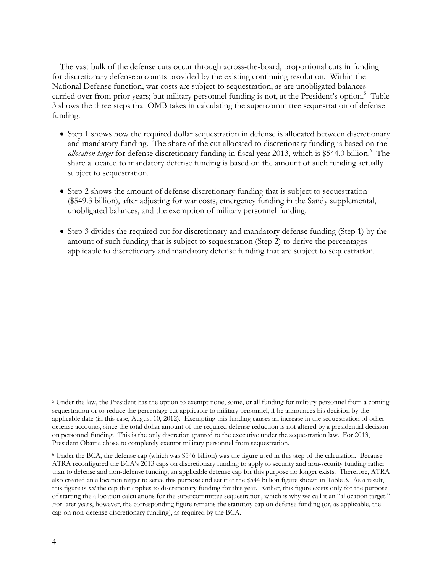The vast bulk of the defense cuts occur through across-the-board, proportional cuts in funding for discretionary defense accounts provided by the existing continuing resolution. Within the National Defense function, war costs are subject to sequestration, as are unobligated balances carried over from prior years; but military personnel funding is not, at the President's option.<sup>5</sup> Table 3 shows the three steps that OMB takes in calculating the supercommittee sequestration of defense funding.

- Step 1 shows how the required dollar sequestration in defense is allocated between discretionary and mandatory funding. The share of the cut allocated to discretionary funding is based on the allocation target for defense discretionary funding in fiscal year 2013, which is \$544.0 billion.<sup>6</sup> The share allocated to mandatory defense funding is based on the amount of such funding actually subject to sequestration.
- Step 2 shows the amount of defense discretionary funding that is subject to sequestration (\$549.3 billion), after adjusting for war costs, emergency funding in the Sandy supplemental, unobligated balances, and the exemption of military personnel funding.
- Step 3 divides the required cut for discretionary and mandatory defense funding (Step 1) by the amount of such funding that is subject to sequestration (Step 2) to derive the percentages applicable to discretionary and mandatory defense funding that are subject to sequestration.

-

<sup>5</sup> Under the law, the President has the option to exempt none, some, or all funding for military personnel from a coming sequestration or to reduce the percentage cut applicable to military personnel, if he announces his decision by the applicable date (in this case, August 10, 2012). Exempting this funding causes an increase in the sequestration of other defense accounts, since the total dollar amount of the required defense reduction is not altered by a presidential decision on personnel funding. This is the only discretion granted to the executive under the sequestration law. For 2013, President Obama chose to completely exempt military personnel from sequestration.

<sup>6</sup> Under the BCA, the defense cap (which was \$546 billion) was the figure used in this step of the calculation. Because ATRA reconfigured the BCA's 2013 caps on discretionary funding to apply to security and non-security funding rather than to defense and non-defense funding, an applicable defense cap for this purpose no longer exists. Therefore, ATRA also created an allocation target to serve this purpose and set it at the \$544 billion figure shown in Table 3. As a result, this figure is *not* the cap that applies to discretionary funding for this year. Rather, this figure exists only for the purpose of starting the allocation calculations for the supercommittee sequestration, which is why we call it an "allocation target." For later years, however, the corresponding figure remains the statutory cap on defense funding (or, as applicable, the cap on non-defense discretionary funding), as required by the BCA.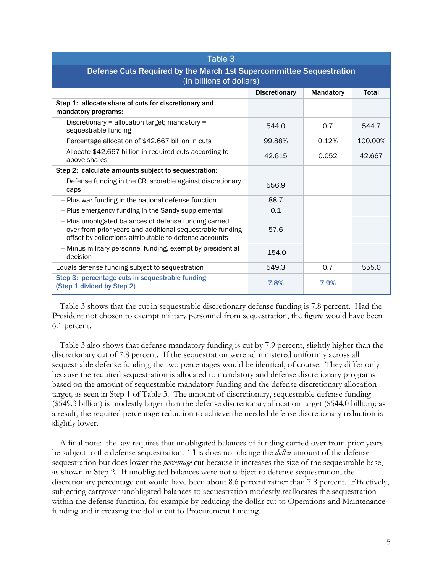| Table 3                                                                                                                                                                        |          |       |         |  |  |  |
|--------------------------------------------------------------------------------------------------------------------------------------------------------------------------------|----------|-------|---------|--|--|--|
| Defense Cuts Required by the March 1st Supercommittee Sequestration<br>(In billions of dollars)                                                                                |          |       |         |  |  |  |
| <b>Discretionary</b><br>Mandatory<br><b>Total</b>                                                                                                                              |          |       |         |  |  |  |
| Step 1: allocate share of cuts for discretionary and<br>mandatory programs:                                                                                                    |          |       |         |  |  |  |
| Discretionary = allocation target; mandatory =<br>sequestrable funding                                                                                                         | 544.0    | 0.7   | 544.7   |  |  |  |
| Percentage allocation of \$42.667 billion in cuts                                                                                                                              | 99.88%   | 0.12% | 100.00% |  |  |  |
| Allocate \$42.667 billion in required cuts according to<br>above shares                                                                                                        | 42.615   | 0.052 | 42.667  |  |  |  |
| Step 2: calculate amounts subject to sequestration:                                                                                                                            |          |       |         |  |  |  |
| Defense funding in the CR, scorable against discretionary<br>caps                                                                                                              | 556.9    |       |         |  |  |  |
| -- Plus war funding in the national defense function                                                                                                                           | 88.7     |       |         |  |  |  |
| -- Plus emergency funding in the Sandy supplemental                                                                                                                            | 0.1      |       |         |  |  |  |
| -- Plus unobligated balances of defense funding carried<br>over from prior years and additional sequestrable funding<br>offset by collections attributable to defense accounts | 57.6     |       |         |  |  |  |
| -- Minus military personnel funding, exempt by presidential<br>decision                                                                                                        | $-154.0$ |       |         |  |  |  |
| Equals defense funding subject to sequestration                                                                                                                                | 549.3    | 0.7   | 555.0   |  |  |  |
| Step 3: percentage cuts in sequestrable funding<br>(Step 1 divided by Step 2)                                                                                                  | 7.8%     | 7.9%  |         |  |  |  |

Table 3 shows that the cut in sequestrable discretionary defense funding is 7.8 percent. Had the President not chosen to exempt military personnel from sequestration, the figure would have been 6.1 percent.

Table 3 also shows that defense mandatory funding is cut by 7.9 percent, slightly higher than the discretionary cut of 7.8 percent. If the sequestration were administered uniformly across all sequestrable defense funding, the two percentages would be identical, of course. They differ only because the required sequestration is allocated to mandatory and defense discretionary programs based on the amount of sequestrable mandatory funding and the defense discretionary allocation target*,* as seen in Step 1 of Table 3. The amount of discretionary, sequestrable defense funding (\$549.3 billion) is modestly larger than the defense discretionary allocation target (\$544.0 billion); as a result, the required percentage reduction to achieve the needed defense discretionary reduction is slightly lower.

A final note: the law requires that unobligated balances of funding carried over from prior years be subject to the defense sequestration. This does not change the *dollar* amount of the defense sequestration but does lower the *percentage* cut because it increases the size of the sequestrable base, as shown in Step 2. If unobligated balances were not subject to defense sequestration, the discretionary percentage cut would have been about 8.6 percent rather than 7.8 percent. Effectively, subjecting carryover unobligated balances to sequestration modestly reallocates the sequestration within the defense function, for example by reducing the dollar cut to Operations and Maintenance funding and increasing the dollar cut to Procurement funding.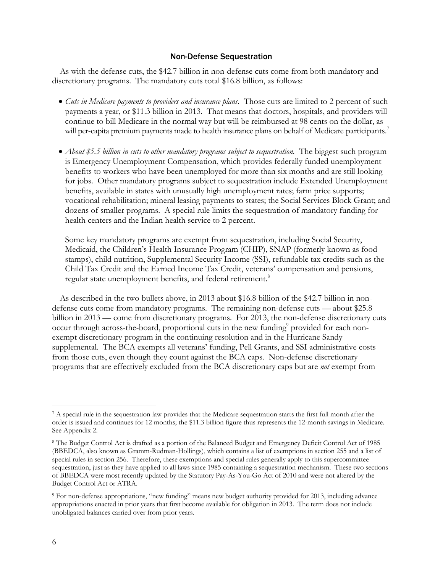#### Non-Defense Sequestration

As with the defense cuts, the \$42.7 billion in non-defense cuts come from both mandatory and discretionary programs. The mandatory cuts total \$16.8 billion, as follows:

- *Cuts in Medicare payments to providers and insurance plans.* Those cuts are limited to 2 percent of such payments a year, or \$11.3 billion in 2013. That means that doctors, hospitals, and providers will continue to bill Medicare in the normal way but will be reimbursed at 98 cents on the dollar, as will per-capita premium payments made to health insurance plans on behalf of Medicare participants.<sup>7</sup>
- *About \$5.5 billion in cuts to other mandatory programs subject to sequestration.* The biggest such program is Emergency Unemployment Compensation, which provides federally funded unemployment benefits to workers who have been unemployed for more than six months and are still looking for jobs. Other mandatory programs subject to sequestration include Extended Unemployment benefits, available in states with unusually high unemployment rates; farm price supports; vocational rehabilitation; mineral leasing payments to states; the Social Services Block Grant; and dozens of smaller programs. A special rule limits the sequestration of mandatory funding for health centers and the Indian health service to 2 percent.

Some key mandatory programs are exempt from sequestration, including Social Security, Medicaid, the Children's Health Insurance Program (CHIP), SNAP (formerly known as food stamps), child nutrition, Supplemental Security Income (SSI), refundable tax credits such as the Child Tax Credit and the Earned Income Tax Credit, veterans' compensation and pensions, regular state unemployment benefits, and federal retirement.<sup>8</sup>

As described in the two bullets above, in 2013 about \$16.8 billion of the \$42.7 billion in nondefense cuts come from mandatory programs. The remaining non-defense cuts — about \$25.8 billion in 2013 — come from discretionary programs. For 2013, the non-defense discretionary cuts occur through across-the-board, proportional cuts in the new funding<sup>9</sup> provided for each nonexempt discretionary program in the continuing resolution and in the Hurricane Sandy supplemental. The BCA exempts all veterans' funding, Pell Grants, and SSI administrative costs from those cuts, even though they count against the BCA caps. Non-defense discretionary programs that are effectively excluded from the BCA discretionary caps but are *not* exempt from

-

<sup>7</sup> A special rule in the sequestration law provides that the Medicare sequestration starts the first full month after the order is issued and continues for 12 months; the \$11.3 billion figure thus represents the 12-month savings in Medicare. See Appendix 2.

<sup>8</sup> The Budget Control Act is drafted as a portion of the Balanced Budget and Emergency Deficit Control Act of 1985 (BBEDCA, also known as Gramm-Rudman-Hollings), which contains a list of exemptions in section 255 and a list of special rules in section 256. Therefore, these exemptions and special rules generally apply to this supercommittee sequestration, just as they have applied to all laws since 1985 containing a sequestration mechanism. These two sections of BBEDCA were most recently updated by the Statutory Pay-As-You-Go Act of 2010 and were not altered by the Budget Control Act or ATRA.

<sup>9</sup> For non-defense appropriations, "new funding" means new budget authority provided for 2013, including advance appropriations enacted in prior years that first become available for obligation in 2013. The term does not include unobligated balances carried over from prior years.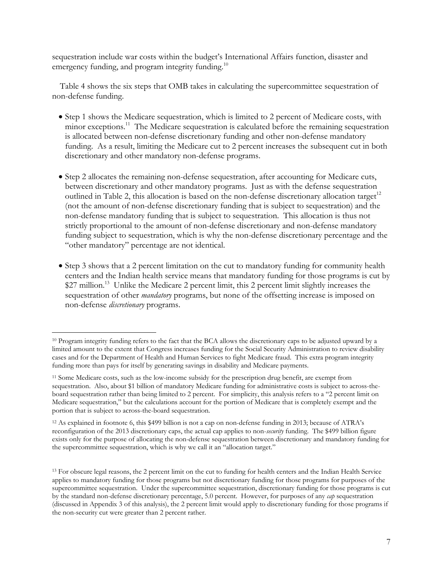sequestration include war costs within the budget's International Affairs function, disaster and emergency funding, and program integrity funding.<sup>10</sup>

Table 4 shows the six steps that OMB takes in calculating the supercommittee sequestration of non-defense funding.

- Step 1 shows the Medicare sequestration, which is limited to 2 percent of Medicare costs, with minor exceptions.<sup>11</sup> The Medicare sequestration is calculated before the remaining sequestration is allocated between non-defense discretionary funding and other non-defense mandatory funding. As a result, limiting the Medicare cut to 2 percent increases the subsequent cut in both discretionary and other mandatory non-defense programs.
- Step 2 allocates the remaining non-defense sequestration, after accounting for Medicare cuts, between discretionary and other mandatory programs. Just as with the defense sequestration outlined in Table 2, this allocation is based on the non-defense discretionary allocation target<sup>12</sup> (not the amount of non-defense discretionary funding that is subject to sequestration) and the non-defense mandatory funding that is subject to sequestration. This allocation is thus not strictly proportional to the amount of non-defense discretionary and non-defense mandatory funding subject to sequestration, which is why the non-defense discretionary percentage and the "other mandatory" percentage are not identical.
- Step 3 shows that a 2 percent limitation on the cut to mandatory funding for community health centers and the Indian health service means that mandatory funding for those programs is cut by \$27 million.<sup>13</sup> Unlike the Medicare 2 percent limit, this 2 percent limit slightly increases the sequestration of other *mandatory* programs, but none of the offsetting increase is imposed on non-defense *discretionary* programs.

 $\overline{a}$ 10 Program integrity funding refers to the fact that the BCA allows the discretionary caps to be adjusted upward by a limited amount to the extent that Congress increases funding for the Social Security Administration to review disability cases and for the Department of Health and Human Services to fight Medicare fraud. This extra program integrity funding more than pays for itself by generating savings in disability and Medicare payments.

<sup>11</sup> Some Medicare costs, such as the low-income subsidy for the prescription drug benefit, are exempt from sequestration. Also, about \$1 billion of mandatory Medicare funding for administrative costs is subject to across-theboard sequestration rather than being limited to 2 percent. For simplicity, this analysis refers to a "2 percent limit on Medicare sequestration," but the calculations account for the portion of Medicare that is completely exempt and the portion that is subject to across-the-board sequestration.

<sup>12</sup> As explained in footnote 6, this \$499 billion is not a cap on non-defense funding in 2013; because of ATRA's reconfiguration of the 2013 discretionary caps, the actual cap applies to non-*security* funding. The \$499 billion figure exists only for the purpose of allocating the non-defense sequestration between discretionary and mandatory funding for the supercommittee sequestration, which is why we call it an "allocation target."

<sup>&</sup>lt;sup>13</sup> For obscure legal reasons, the 2 percent limit on the cut to funding for health centers and the Indian Health Service applies to mandatory funding for those programs but not discretionary funding for those programs for purposes of the supercommittee sequestration. Under the supercommittee sequestration, discretionary funding for those programs is cut by the standard non-defense discretionary percentage, 5.0 percent. However, for purposes of any *cap* sequestration (discussed in Appendix 3 of this analysis), the 2 percent limit would apply to discretionary funding for those programs if the non-security cut were greater than 2 percent rather.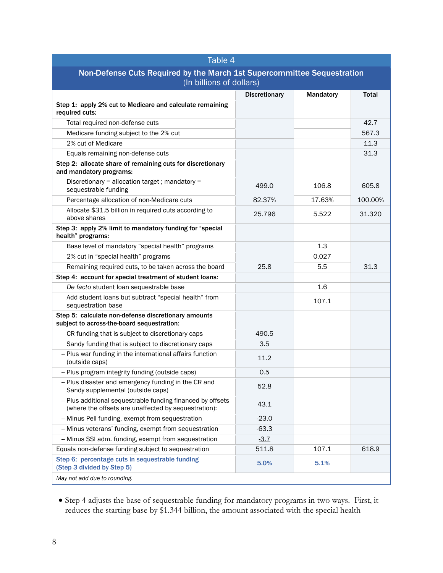| Table 4                                                                                                             |                      |           |         |  |
|---------------------------------------------------------------------------------------------------------------------|----------------------|-----------|---------|--|
| Non-Defense Cuts Required by the March 1st Supercommittee Sequestration                                             |                      |           |         |  |
| (In billions of dollars)                                                                                            |                      |           |         |  |
|                                                                                                                     | <b>Discretionary</b> | Mandatory | Total   |  |
| Step 1: apply 2% cut to Medicare and calculate remaining<br>required cuts:                                          |                      |           |         |  |
| Total required non-defense cuts                                                                                     |                      |           | 42.7    |  |
| Medicare funding subject to the 2% cut                                                                              |                      |           | 567.3   |  |
| 2% cut of Medicare                                                                                                  |                      |           | 11.3    |  |
| Equals remaining non-defense cuts                                                                                   |                      |           | 31.3    |  |
| Step 2: allocate share of remaining cuts for discretionary<br>and mandatory programs:                               |                      |           |         |  |
| Discretionary = allocation target ; mandatory =<br>sequestrable funding                                             | 499.0                | 106.8     | 605.8   |  |
| Percentage allocation of non-Medicare cuts                                                                          | 82.37%               | 17.63%    | 100.00% |  |
| Allocate \$31.5 billion in required cuts according to<br>above shares                                               | 25.796               | 5.522     | 31.320  |  |
| Step 3: apply 2% limit to mandatory funding for "special<br>health" programs:                                       |                      |           |         |  |
| Base level of mandatory "special health" programs                                                                   |                      | 1.3       |         |  |
| 2% cut in "special health" programs                                                                                 |                      | 0.027     |         |  |
| Remaining required cuts, to be taken across the board                                                               | 25.8                 | 5.5       | 31.3    |  |
| Step 4: account for special treatment of student loans:                                                             |                      |           |         |  |
| De facto student loan sequestrable base                                                                             |                      | 1.6       |         |  |
| Add student loans but subtract "special health" from<br>sequestration base                                          |                      | 107.1     |         |  |
| Step 5: calculate non-defense discretionary amounts<br>subject to across-the-board sequestration:                   |                      |           |         |  |
| CR funding that is subject to discretionary caps                                                                    | 490.5                |           |         |  |
| Sandy funding that is subject to discretionary caps                                                                 | 3.5                  |           |         |  |
| -- Plus war funding in the international affairs function<br>(outside caps)                                         | 11.2                 |           |         |  |
| -- Plus program integrity funding (outside caps)                                                                    | 0.5                  |           |         |  |
| - Plus disaster and emergency funding in the CR and<br>Sandy supplemental (outside caps)                            | 52.8                 |           |         |  |
| -- Plus additional sequestrable funding financed by offsets<br>(where the offsets are unaffected by sequestration): | 43.1                 |           |         |  |
| -- Minus Pell funding, exempt from sequestration                                                                    | $-23.0$              |           |         |  |
| -- Minus veterans' funding, exempt from sequestration                                                               | $-63.3$              |           |         |  |
| -- Minus SSI adm. funding, exempt from sequestration                                                                | $-3.7$               |           |         |  |
| Equals non-defense funding subject to sequestration                                                                 | 511.8                | 107.1     | 618.9   |  |
| Step 6: percentage cuts in sequestrable funding<br>(Step 3 divided by Step 5)                                       | 5.0%                 | 5.1%      |         |  |
| May not add due to rounding.                                                                                        |                      |           |         |  |

 Step 4 adjusts the base of sequestrable funding for mandatory programs in two ways. First, it reduces the starting base by \$1.344 billion, the amount associated with the special health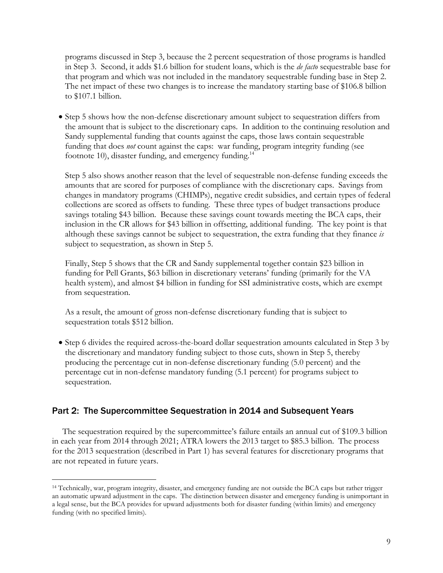programs discussed in Step 3, because the 2 percent sequestration of those programs is handled in Step 3. Second, it adds \$1.6 billion for student loans, which is the *de facto* sequestrable base for that program and which was not included in the mandatory sequestrable funding base in Step 2. The net impact of these two changes is to increase the mandatory starting base of \$106.8 billion to \$107.1 billion.

• Step 5 shows how the non-defense discretionary amount subject to sequestration differs from the amount that is subject to the discretionary caps. In addition to the continuing resolution and Sandy supplemental funding that counts against the caps, those laws contain sequestrable funding that does *not* count against the caps: war funding, program integrity funding (see footnote 10), disaster funding, and emergency funding.<sup>14</sup>

Step 5 also shows another reason that the level of sequestrable non-defense funding exceeds the amounts that are scored for purposes of compliance with the discretionary caps. Savings from changes in mandatory programs (CHIMPs), negative credit subsidies, and certain types of federal collections are scored as offsets to funding. These three types of budget transactions produce savings totaling \$43 billion. Because these savings count towards meeting the BCA caps, their inclusion in the CR allows for \$43 billion in offsetting, additional funding. The key point is that although these savings cannot be subject to sequestration, the extra funding that they finance *is* subject to sequestration, as shown in Step 5.

Finally, Step 5 shows that the CR and Sandy supplemental together contain \$23 billion in funding for Pell Grants, \$63 billion in discretionary veterans' funding (primarily for the VA health system), and almost \$4 billion in funding for SSI administrative costs, which are exempt from sequestration.

As a result, the amount of gross non-defense discretionary funding that is subject to sequestration totals \$512 billion.

 Step 6 divides the required across-the-board dollar sequestration amounts calculated in Step 3 by the discretionary and mandatory funding subject to those cuts, shown in Step 5, thereby producing the percentage cut in non-defense discretionary funding (5.0 percent) and the percentage cut in non-defense mandatory funding (5.1 percent) for programs subject to sequestration.

# Part 2: The Supercommittee Sequestration in 2014 and Subsequent Years

The sequestration required by the supercommittee's failure entails an annual cut of \$109.3 billion in each year from 2014 through 2021; ATRA lowers the 2013 target to \$85.3 billion. The process for the 2013 sequestration (described in Part 1) has several features for discretionary programs that are not repeated in future years.

 $\overline{a}$ 14 Technically, war, program integrity, disaster, and emergency funding are not outside the BCA caps but rather trigger an automatic upward adjustment in the caps. The distinction between disaster and emergency funding is unimportant in a legal sense, but the BCA provides for upward adjustments both for disaster funding (within limits) and emergency funding (with no specified limits).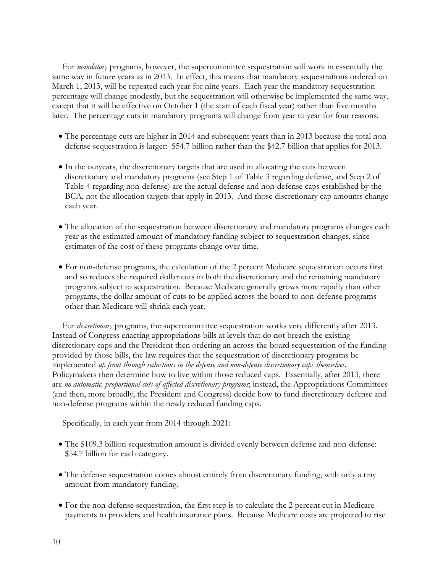For *mandatory* programs, however, the supercommittee sequestration will work in essentially the same way in future years as in 2013. In effect, this means that mandatory sequestrations ordered on March 1, 2013, will be repeated each year for nine years. Each year the mandatory sequestration percentage will change modestly, but the sequestration will otherwise be implemented the same way, except that it will be effective on October 1 (the start of each fiscal year) rather than five months later. The percentage cuts in mandatory programs will change from year to year for four reasons.

- The percentage cuts are higher in 2014 and subsequent years than in 2013 because the total nondefense sequestration is larger: \$54.7 billion rather than the \$42.7 billion that applies for 2013.
- In the outyears, the discretionary targets that are used in allocating the cuts between discretionary and mandatory programs (see Step 1 of Table 3 regarding defense, and Step 2 of Table 4 regarding non-defense) are the actual defense and non-defense caps established by the BCA, not the allocation targets that apply in 2013. And those discretionary cap amounts change each year.
- The allocation of the sequestration between discretionary and mandatory programs changes each year as the estimated amount of mandatory funding subject to sequestration changes, since estimates of the cost of these programs change over time.
- For non-defense programs, the calculation of the 2 percent Medicare sequestration occurs first and so reduces the required dollar cuts in both the discretionary and the remaining mandatory programs subject to sequestration. Because Medicare generally grows more rapidly than other programs, the dollar amount of cuts to be applied across the board to non-defense programs other than Medicare will shrink each year.

For *discretionary* programs, the supercommittee sequestration works very differently after 2013. Instead of Congress enacting appropriations bills at levels that do not breach the existing discretionary caps and the President then ordering an across-the-board sequestration of the funding provided by those bills, the law requires that the sequestration of discretionary programs be implemented *up front through reductions in the defense and non-defense discretionary caps themselves*. Policymakers then determine how to live within those reduced caps. Essentially, after 2013, there are *no automatic, proportional cuts of affected discretionary programs*; instead, the Appropriations Committees (and then, more broadly, the President and Congress) decide how to fund discretionary defense and non-defense programs within the newly reduced funding caps.

Specifically, in each year from 2014 through 2021:

- The \$109.3 billion sequestration amount is divided evenly between defense and non-defense: \$54.7 billion for each category.
- The defense sequestration comes almost entirely from discretionary funding, with only a tiny amount from mandatory funding.
- For the non-defense sequestration, the first step is to calculate the 2 percent cut in Medicare payments to providers and health insurance plans. Because Medicare costs are projected to rise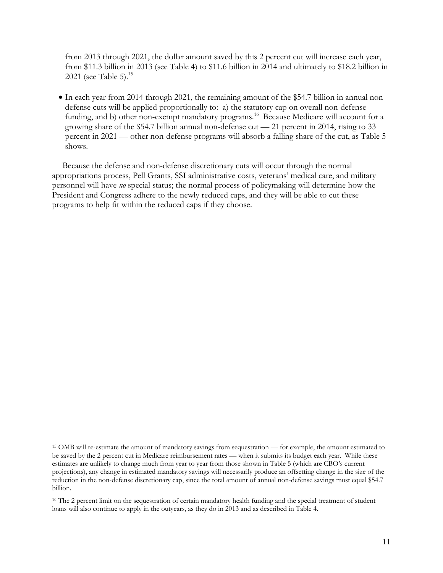from 2013 through 2021, the dollar amount saved by this 2 percent cut will increase each year, from \$11.3 billion in 2013 (see Table 4) to \$11.6 billion in 2014 and ultimately to \$18.2 billion in 2021 (see Table 5).<sup>15</sup>

 In each year from 2014 through 2021, the remaining amount of the \$54.7 billion in annual nondefense cuts will be applied proportionally to: a) the statutory cap on overall non-defense funding, and b) other non-exempt mandatory programs.<sup>16</sup> Because Medicare will account for a growing share of the \$54.7 billion annual non-defense cut — 21 percent in 2014, rising to 33 percent in 2021 — other non-defense programs will absorb a falling share of the cut, as Table 5 shows.

Because the defense and non-defense discretionary cuts will occur through the normal appropriations process, Pell Grants, SSI administrative costs, veterans' medical care, and military personnel will have *no* special status; the normal process of policymaking will determine how the President and Congress adhere to the newly reduced caps, and they will be able to cut these programs to help fit within the reduced caps if they choose.

 $\overline{a}$ <sup>15</sup> OMB will re-estimate the amount of mandatory savings from sequestration — for example, the amount estimated to be saved by the 2 percent cut in Medicare reimbursement rates — when it submits its budget each year. While these estimates are unlikely to change much from year to year from those shown in Table 5 (which are CBO's current projections), any change in estimated mandatory savings will necessarily produce an offsetting change in the size of the reduction in the non-defense discretionary cap, since the total amount of annual non-defense savings must equal \$54.7 billion.

<sup>&</sup>lt;sup>16</sup> The 2 percent limit on the sequestration of certain mandatory health funding and the special treatment of student loans will also continue to apply in the outyears, as they do in 2013 and as described in Table 4.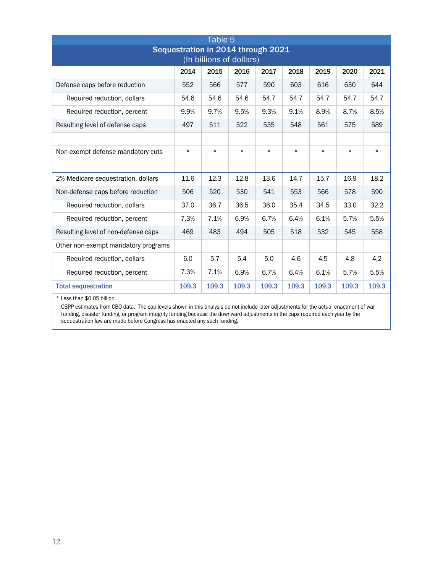| Table 5                                                                        |         |         |          |          |          |          |          |          |
|--------------------------------------------------------------------------------|---------|---------|----------|----------|----------|----------|----------|----------|
| Sequestration in 2014 through 2021                                             |         |         |          |          |          |          |          |          |
| (In billions of dollars)                                                       |         |         |          |          |          |          |          |          |
|                                                                                | 2014    | 2015    | 2016     | 2017     | 2018     | 2019     | 2020     | 2021     |
| Defense caps before reduction                                                  | 552     | 566     | 577      | 590      | 603      | 616      | 630      | 644      |
| Required reduction, dollars                                                    | 54.6    | 54.6    | 54.6     | 54.7     | 54.7     | 54.7     | 54.7     | 54.7     |
| Required reduction, percent                                                    | 9.9%    | 9.7%    | 9.5%     | 9.3%     | 9.1%     | 8.9%     | 8.7%     | 8.5%     |
| Resulting level of defense caps                                                | 497     | 511     | 522      | 535      | 548      | 561      | 575      | 589      |
|                                                                                |         |         |          |          |          |          |          |          |
| Non-exempt defense mandatory cuts                                              | $\star$ | $\star$ | $^\star$ | $^\star$ | $^\star$ | $^\star$ | $^\star$ | $^\star$ |
|                                                                                |         |         |          |          |          |          |          |          |
| 2% Medicare sequestration, dollars                                             | 11.6    | 12.3    | 12.8     | 13.6     | 14.7     | 15.7     | 16.9     | 18.2     |
| Non-defense caps before reduction                                              | 506     | 520     | 530      | 541      | 553      | 566      | 578      | 590      |
| Required reduction, dollars                                                    | 37.0    | 36.7    | 36.5     | 36.0     | 35.4     | 34.5     | 33.0     | 32.2     |
| Required reduction, percent                                                    | 7.3%    | 7.1%    | 6.9%     | 6.7%     | 6.4%     | 6.1%     | 5.7%     | 5.5%     |
| Resulting level of non-defense caps                                            | 469     | 483     | 494      | 505      | 518      | 532      | 545      | 558      |
| Other non-exempt mandatory programs                                            |         |         |          |          |          |          |          |          |
| Required reduction, dollars                                                    | 6.0     | 5.7     | 5.4      | 5.0      | 4.6      | 4.5      | 4.8      | 4.2      |
| Required reduction, percent                                                    | 7.3%    | 7.1%    | 6.9%     | 6.7%     | 6.4%     | 6.1%     | 5.7%     | 5.5%     |
| <b>Total sequestration</b>                                                     | 109.3   | 109.3   | 109.3    | 109.3    | 109.3    | 109.3    | 109.3    | 109.3    |
| $\mathbf{A} \mathbf{A} \mathbf{A} \mathbf{A} \mathbf{A} \mathbf{A} \mathbf{A}$ |         |         |          |          |          |          |          |          |

\* Less than \$0.05 billion.

CBPP estimates from CBO data. The cap levels shown in this analysis do not include later adjustments for the actual enactment of war funding, disaster funding, or program integrity funding because the downward adjustments in the caps required each year by the sequestration law are made before Congress has enacted any such funding.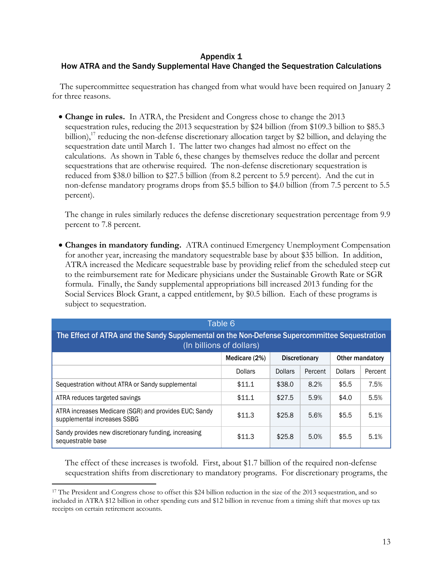# Appendix 1 How ATRA and the Sandy Supplemental Have Changed the Sequestration Calculations

The supercommittee sequestration has changed from what would have been required on January 2 for three reasons.

 **Change in rules.** In ATRA, the President and Congress chose to change the 2013 sequestration rules, reducing the 2013 sequestration by \$24 billion (from \$109.3 billion to \$85.3 billion),<sup>17</sup> reducing the non-defense discretionary allocation target by \$2 billion, and delaying the sequestration date until March 1. The latter two changes had almost no effect on the calculations. As shown in Table 6, these changes by themselves reduce the dollar and percent sequestrations that are otherwise required. The non-defense discretionary sequestration is reduced from \$38.0 billion to \$27.5 billion (from 8.2 percent to 5.9 percent). And the cut in non-defense mandatory programs drops from \$5.5 billion to \$4.0 billion (from 7.5 percent to 5.5 percent).

The change in rules similarly reduces the defense discretionary sequestration percentage from 9.9 percent to 7.8 percent.

 **Changes in mandatory funding.** ATRA continued Emergency Unemployment Compensation for another year, increasing the mandatory sequestrable base by about \$35 billion. In addition, ATRA increased the Medicare sequestrable base by providing relief from the scheduled steep cut to the reimbursement rate for Medicare physicians under the Sustainable Growth Rate or SGR formula. Finally, the Sandy supplemental appropriations bill increased 2013 funding for the Social Services Block Grant, a capped entitlement, by \$0.5 billion. Each of these programs is subject to sequestration.

| Table 6                                                                                                                   |                |                |         |                |         |  |
|---------------------------------------------------------------------------------------------------------------------------|----------------|----------------|---------|----------------|---------|--|
| The Effect of ATRA and the Sandy Supplemental on the Non-Defense Supercommittee Sequestration<br>(In billions of dollars) |                |                |         |                |         |  |
| Medicare (2%)<br><b>Discretionary</b><br>Other mandatory                                                                  |                |                |         |                |         |  |
|                                                                                                                           | <b>Dollars</b> | <b>Dollars</b> | Percent | <b>Dollars</b> | Percent |  |
| Sequestration without ATRA or Sandy supplemental                                                                          | \$11.1         | \$38.0         | 8.2%    | \$5.5          | 7.5%    |  |
| ATRA reduces targeted savings                                                                                             | \$11.1         | \$27.5         | 5.9%    | \$4.0          | 5.5%    |  |
| ATRA increases Medicare (SGR) and provides EUC; Sandy<br>supplemental increases SSBG                                      | \$11.3         | \$25.8         | 5.6%    | \$5.5          | 5.1%    |  |
| Sandy provides new discretionary funding, increasing<br>sequestrable base                                                 | \$11.3         | \$25.8         | 5.0%    | \$5.5          | 5.1%    |  |

The effect of these increases is twofold. First, about \$1.7 billion of the required non-defense sequestration shifts from discretionary to mandatory programs. For discretionary programs, the

 $\overline{a}$ <sup>17</sup> The President and Congress chose to offset this \$24 billion reduction in the size of the 2013 sequestration, and so included in ATRA \$12 billion in other spending cuts and \$12 billion in revenue from a timing shift that moves up tax receipts on certain retirement accounts.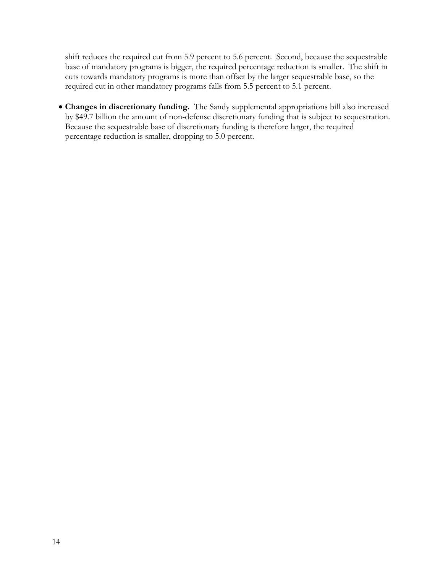shift reduces the required cut from 5.9 percent to 5.6 percent. Second, because the sequestrable base of mandatory programs is bigger, the required percentage reduction is smaller. The shift in cuts towards mandatory programs is more than offset by the larger sequestrable base, so the required cut in other mandatory programs falls from 5.5 percent to 5.1 percent.

 **Changes in discretionary funding.** The Sandy supplemental appropriations bill also increased by \$49.7 billion the amount of non-defense discretionary funding that is subject to sequestration. Because the sequestrable base of discretionary funding is therefore larger, the required percentage reduction is smaller, dropping to 5.0 percent.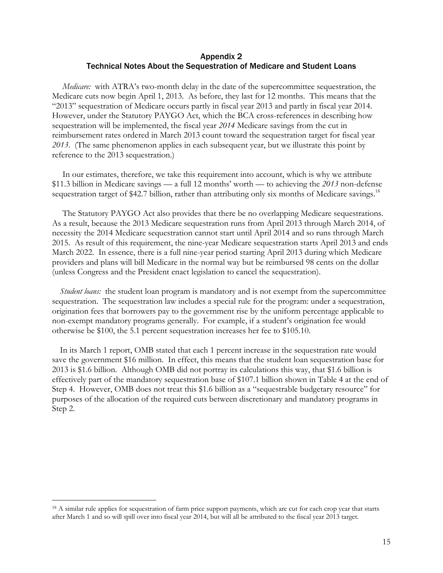# Appendix 2 Technical Notes About the Sequestration of Medicare and Student Loans

*Medicare:* with ATRA's two-month delay in the date of the supercommittee sequestration, the Medicare cuts now begin April 1, 2013. As before, they last for 12 months. This means that the "2013" sequestration of Medicare occurs partly in fiscal year 2013 and partly in fiscal year 2014. However, under the Statutory PAYGO Act, which the BCA cross-references in describing how sequestration will be implemented, the fiscal year *2014* Medicare savings from the cut in reimbursement rates ordered in March 2013 count toward the sequestration target for fiscal year *2013*. (The same phenomenon applies in each subsequent year, but we illustrate this point by reference to the 2013 sequestration.)

In our estimates, therefore, we take this requirement into account, which is why we attribute \$11.3 billion in Medicare savings — a full 12 months' worth — to achieving the *2013* non-defense sequestration target of \$42.7 billion, rather than attributing only six months of Medicare savings.<sup>18</sup>

The Statutory PAYGO Act also provides that there be no overlapping Medicare sequestrations. As a result, because the 2013 Medicare sequestration runs from April 2013 through March 2014, of necessity the 2014 Medicare sequestration cannot start until April 2014 and so runs through March 2015. As result of this requirement, the nine-year Medicare sequestration starts April 2013 and ends March 2022. In essence, there is a full nine-year period starting April 2013 during which Medicare providers and plans will bill Medicare in the normal way but be reimbursed 98 cents on the dollar (unless Congress and the President enact legislation to cancel the sequestration).

*Student loans:* the student loan program is mandatory and is not exempt from the supercommittee sequestration. The sequestration law includes a special rule for the program: under a sequestration, origination fees that borrowers pay to the government rise by the uniform percentage applicable to non-exempt mandatory programs generally. For example, if a student's origination fee would otherwise be \$100, the 5.1 percent sequestration increases her fee to \$105.10.

In its March 1 report, OMB stated that each 1 percent increase in the sequestration rate would save the government \$16 million. In effect, this means that the student loan sequestration base for 2013 is \$1.6 billion. Although OMB did not portray its calculations this way, that \$1.6 billion is effectively part of the mandatory sequestration base of \$107.1 billion shown in Table 4 at the end of Step 4. However, OMB does not treat this \$1.6 billion as a "sequestrable budgetary resource" for purposes of the allocation of the required cuts between discretionary and mandatory programs in Step 2.

-

<sup>&</sup>lt;sup>18</sup> A similar rule applies for sequestration of farm price support payments, which are cut for each crop year that starts after March 1 and so will spill over into fiscal year 2014, but will all be attributed to the fiscal year 2013 target.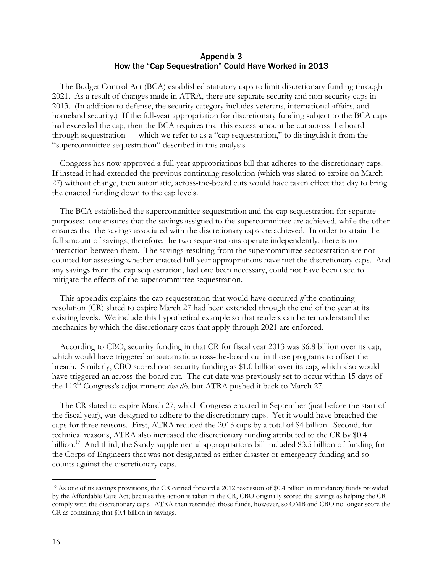#### Appendix 3 How the "Cap Sequestration" Could Have Worked in 2013

The Budget Control Act (BCA) established statutory caps to limit discretionary funding through 2021. As a result of changes made in ATRA, there are separate security and non-security caps in 2013. (In addition to defense, the security category includes veterans, international affairs, and homeland security.) If the full-year appropriation for discretionary funding subject to the BCA caps had exceeded the cap, then the BCA requires that this excess amount be cut across the board through sequestration — which we refer to as a "cap sequestration," to distinguish it from the "supercommittee sequestration" described in this analysis.

Congress has now approved a full-year appropriations bill that adheres to the discretionary caps. If instead it had extended the previous continuing resolution (which was slated to expire on March 27) without change, then automatic, across-the-board cuts would have taken effect that day to bring the enacted funding down to the cap levels.

The BCA established the supercommittee sequestration and the cap sequestration for separate purposes: one ensures that the savings assigned to the supercommittee are achieved, while the other ensures that the savings associated with the discretionary caps are achieved. In order to attain the full amount of savings, therefore, the two sequestrations operate independently; there is no interaction between them. The savings resulting from the supercommittee sequestration are not counted for assessing whether enacted full-year appropriations have met the discretionary caps. And any savings from the cap sequestration, had one been necessary, could not have been used to mitigate the effects of the supercommittee sequestration.

This appendix explains the cap sequestration that would have occurred *if* the continuing resolution (CR) slated to expire March 27 had been extended through the end of the year at its existing levels. We include this hypothetical example so that readers can better understand the mechanics by which the discretionary caps that apply through 2021 are enforced.

According to CBO, security funding in that CR for fiscal year 2013 was \$6.8 billion over its cap, which would have triggered an automatic across-the-board cut in those programs to offset the breach. Similarly, CBO scored non-security funding as \$1.0 billion over its cap, which also would have triggered an across-the-board cut. The cut date was previously set to occur within 15 days of the 112<sup>th</sup> Congress's adjournment *sine die*, but ATRA pushed it back to March 27.

The CR slated to expire March 27, which Congress enacted in September (just before the start of the fiscal year), was designed to adhere to the discretionary caps. Yet it would have breached the caps for three reasons. First, ATRA reduced the 2013 caps by a total of \$4 billion. Second, for technical reasons, ATRA also increased the discretionary funding attributed to the CR by \$0.4 billion.<sup>19</sup> And third, the Sandy supplemental appropriations bill included \$3.5 billion of funding for the Corps of Engineers that was not designated as either disaster or emergency funding and so counts against the discretionary caps.

 $\overline{a}$ 

<sup>19</sup> As one of its savings provisions, the CR carried forward a 2012 rescission of \$0.4 billion in mandatory funds provided by the Affordable Care Act; because this action is taken in the CR, CBO originally scored the savings as helping the CR comply with the discretionary caps. ATRA then rescinded those funds, however, so OMB and CBO no longer score the CR as containing that \$0.4 billion in savings.